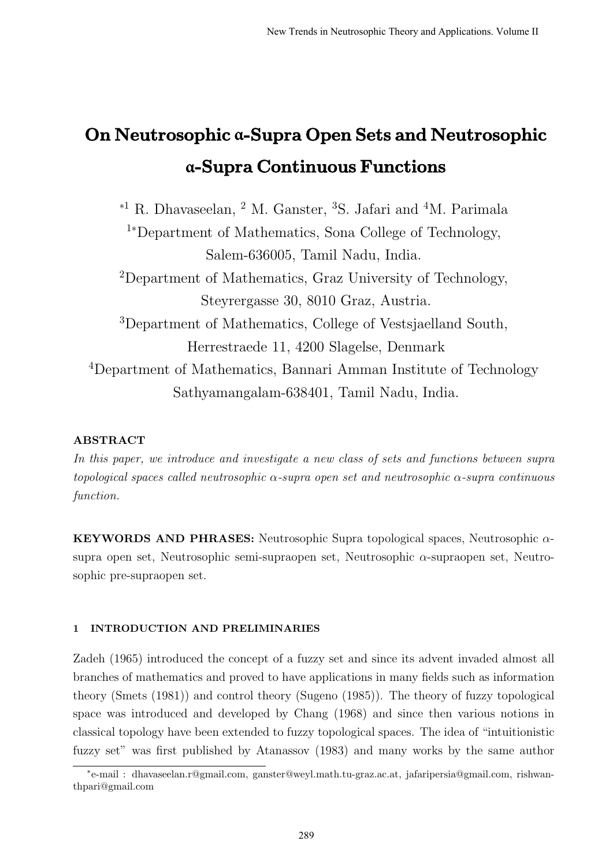# On Neutrosophic **α**-Supra Open Sets and Neutrosophic **α**-Supra Continuous Functions

<sup>∗</sup><sup>1</sup> R. Dhavaseelan, <sup>2</sup> M. Ganster, <sup>3</sup>S. Jafari and <sup>4</sup>M. Parimala <sup>1</sup><sup>∗</sup>Department of Mathematics, Sona College of Technology, Salem-636005, Tamil Nadu, India. <sup>2</sup>Department of Mathematics, Graz University of Technology, Steyrergasse 30, 8010 Graz, Austria. <sup>3</sup>Department of Mathematics, College of Vestsjaelland South, Herrestraede 11, 4200 Slagelse, Denmark <sup>4</sup>Department of Mathematics, Bannari Amman Institute of Technology Sathyamangalam-638401, Tamil Nadu, India.

## ABSTRACT

In this paper, we introduce and investigate a new class of sets and functions between supra topological spaces called neutrosophic  $\alpha$ -supra open set and neutrosophic  $\alpha$ -supra continuous function.

KEYWORDS AND PHRASES: Neutrosophic Supra topological spaces, Neutrosophic  $\alpha$ supra open set, Neutrosophic semi-supraopen set, Neutrosophic  $\alpha$ -supraopen set, Neutrosophic pre-supraopen set.

### 1 INTRODUCTION AND PRELIMINARIES

Zadeh (1965) introduced the concept of a fuzzy set and since its advent invaded almost all branches of mathematics and proved to have applications in many fields such as information theory (Smets (1981)) and control theory (Sugeno (1985)). The theory of fuzzy topological space was introduced and developed by Chang (1968) and since then various notions in classical topology have been extended to fuzzy topological spaces. The idea of "intuitionistic fuzzy set" was first published by Atanassov (1983) and many works by the same author

<sup>∗</sup> e-mail : dhavaseelan.r@gmail.com, ganster@weyl.math.tu-graz.ac.at, jafaripersia@gmail.com, rishwanthpari@gmail.com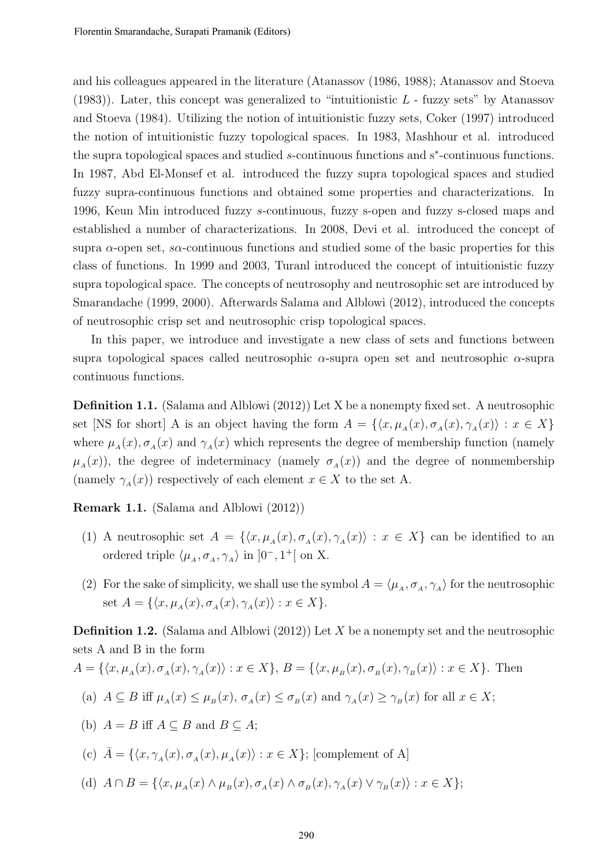and his colleagues appeared in the literature (Atanassov (1986, 1988); Atanassov and Stoeva  $(1983)$ ). Later, this concept was generalized to "intuitionistic L - fuzzy sets" by Atanassov and Stoeva (1984). Utilizing the notion of intuitionistic fuzzy sets, Coker (1997) introduced the notion of intuitionistic fuzzy topological spaces. In 1983, Mashhour et al. introduced the supra topological spaces and studied s-continuous functions and s<sup>∗</sup> -continuous functions. In 1987, Abd El-Monsef et al. introduced the fuzzy supra topological spaces and studied fuzzy supra-continuous functions and obtained some properties and characterizations. In 1996, Keun Min introduced fuzzy s-continuous, fuzzy s-open and fuzzy s-closed maps and established a number of characterizations. In 2008, Devi et al. introduced the concept of supra  $\alpha$ -open set, s $\alpha$ -continuous functions and studied some of the basic properties for this class of functions. In 1999 and 2003, Turanl introduced the concept of intuitionistic fuzzy supra topological space. The concepts of neutrosophy and neutrosophic set are introduced by Smarandache (1999, 2000). Afterwards Salama and Alblowi (2012), introduced the concepts of neutrosophic crisp set and neutrosophic crisp topological spaces.

In this paper, we introduce and investigate a new class of sets and functions between supra topological spaces called neutrosophic  $\alpha$ -supra open set and neutrosophic  $\alpha$ -supra continuous functions.

Definition 1.1. (Salama and Alblowi (2012)) Let X be a nonempty fixed set. A neutrosophic set [NS for short] A is an object having the form  $A = \{ \langle x, \mu_A(x), \sigma_A(x), \gamma_A(x) \rangle : x \in X \}$ where  $\mu_A(x), \sigma_A(x)$  and  $\gamma_A(x)$  which represents the degree of membership function (namely  $\mu_A(x)$ , the degree of indeterminacy (namely  $\sigma_A(x)$ ) and the degree of nonmembership (namely  $\gamma_A(x)$ ) respectively of each element  $x \in X$  to the set A.

Remark 1.1. (Salama and Alblowi (2012))

- (1) A neutrosophic set  $A = \{ \langle x, \mu_A(x), \sigma_A(x), \gamma_A(x) \rangle : x \in X \}$  can be identified to an ordered triple  $\langle \mu_A, \sigma_A, \gamma_A \rangle$  in  $]0^-, 1^+[$  on X.
- (2) For the sake of simplicity, we shall use the symbol  $A = \langle \mu_A, \sigma_A, \gamma_A \rangle$  for the neutrosophic set  $A = \{ \langle x, \mu_A(x), \sigma_A(x), \gamma_A(x) \rangle : x \in X \}.$

**Definition 1.2.** (Salama and Alblowi  $(2012)$ ) Let X be a nonempty set and the neutrosophic sets A and B in the form

$$
A = \{ \langle x, \mu_A(x), \sigma_A(x), \gamma_A(x) \rangle : x \in X \}, B = \{ \langle x, \mu_B(x), \sigma_B(x), \gamma_B(x) \rangle : x \in X \}.
$$
 Then

(a) 
$$
A \subseteq B
$$
 iff  $\mu_A(x) \leq \mu_B(x)$ ,  $\sigma_A(x) \leq \sigma_B(x)$  and  $\gamma_A(x) \geq \gamma_B(x)$  for all  $x \in X$ ;

(b)  $A = B$  iff  $A \subseteq B$  and  $B \subseteq A$ ;

(c) 
$$
\bar{A} = \{ \langle x, \gamma_A(x), \sigma_A(x), \mu_A(x) \rangle : x \in X \};
$$
 [complement of A]

(d)  $A \cap B = \{ \langle x, \mu_A(x) \land \mu_B(x), \sigma_A(x) \land \sigma_B(x), \gamma_A(x) \lor \gamma_B(x) \rangle : x \in X \};$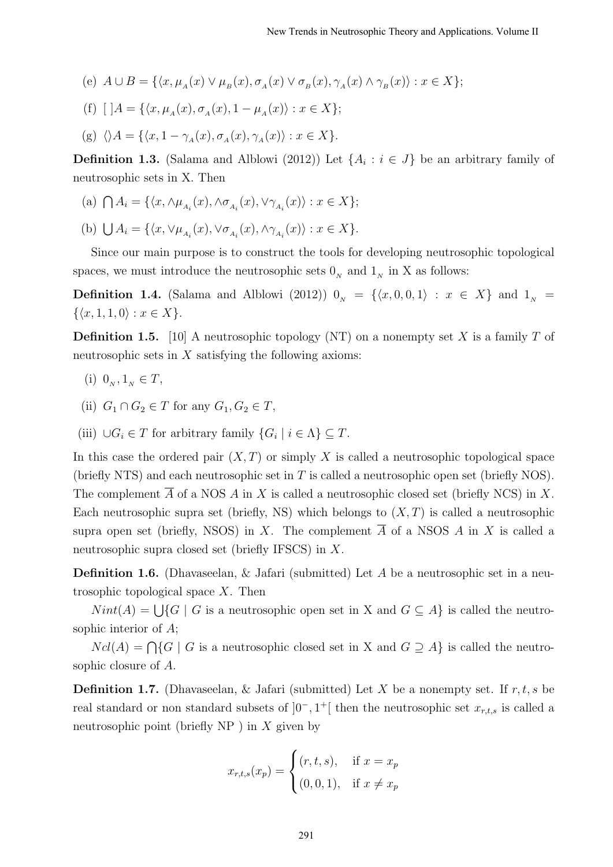- (e)  $A \cup B = \{ \langle x, \mu_A(x) \vee \mu_B(x), \sigma_A(x) \vee \sigma_B(x), \gamma_A(x) \wedge \gamma_B(x) \rangle : x \in X \};$
- (f)  $[$   $]A = \{\langle x, \mu_A(x), \sigma_A(x), 1 \mu_A(x) \rangle : x \in X\};$
- (g)  $\langle A = {\langle x, 1 \gamma_A(x), \sigma_A(x), \gamma_A(x) \rangle : x \in X}$ .

**Definition 1.3.** (Salama and Alblowi (2012)) Let  $\{A_i : i \in J\}$  be an arbitrary family of neutrosophic sets in X. Then

- (a)  $\bigcap A_i = \{ \langle x, \wedge \mu_{A_i}(x), \wedge \sigma_{A_i}(x), \vee \gamma_{A_i}(x) \rangle : x \in X \};$
- (b)  $\bigcup A_i = \{ \langle x, \vee \mu_{A_i}(x), \vee \sigma_{A_i}(x), \wedge \gamma_{A_i}(x) \rangle : x \in X \}.$

Since our main purpose is to construct the tools for developing neutrosophic topological spaces, we must introduce the neutrosophic sets  $0<sub>N</sub>$  and  $1<sub>N</sub>$  in X as follows:

**Definition 1.4.** (Salama and Alblowi (2012))  $0_N = \{(x, 0, 0, 1) : x \in X\}$  and  $1_N =$  $\{\langle x, 1, 1, 0 \rangle : x \in X\}.$ 

**Definition 1.5.** [10] A neutrosophic topology (NT) on a nonempty set X is a family T of neutrosophic sets in  $X$  satisfying the following axioms:

- (i)  $0_N, 1_N \in T$ ,
- (ii)  $G_1 \cap G_2 \in T$  for any  $G_1, G_2 \in T$ ,
- (iii)  $\bigcup G_i \in T$  for arbitrary family  $\{G_i \mid i \in \Lambda\} \subseteq T$ .

In this case the ordered pair  $(X, T)$  or simply X is called a neutrosophic topological space (briefly NTS) and each neutrosophic set in  $T$  is called a neutrosophic open set (briefly NOS). The complement  $\overline{A}$  of a NOS A in X is called a neutrosophic closed set (briefly NCS) in X. Each neutrosophic supra set (briefly, NS) which belongs to  $(X, T)$  is called a neutrosophic supra open set (briefly, NSOS) in X. The complement  $\overline{A}$  of a NSOS A in X is called a neutrosophic supra closed set (briefly IFSCS) in X.

Definition 1.6. (Dhavaseelan, & Jafari (submitted) Let A be a neutrosophic set in a neutrosophic topological space X. Then

 $Nint(A) = \bigcup \{G \mid G$  is a neutrosophic open set in X and  $G \subseteq A\}$  is called the neutrosophic interior of A;

 $Ncl(A) = \bigcap \{G \mid G$  is a neutrosophic closed set in X and  $G \supseteq A\}$  is called the neutrosophic closure of A.

**Definition 1.7.** (Dhavaseelan, & Jafari (submitted) Let X be a nonempty set. If  $r, t, s$  be real standard or non standard subsets of  $]0^-$ , 1<sup>+</sup>[ then the neutrosophic set  $x_{r,t,s}$  is called a neutrosophic point (briefly  $NP$ ) in X given by

$$
x_{r,t,s}(x_p) = \begin{cases} (r, t, s), & \text{if } x = x_p \\ (0, 0, 1), & \text{if } x \neq x_p \end{cases}
$$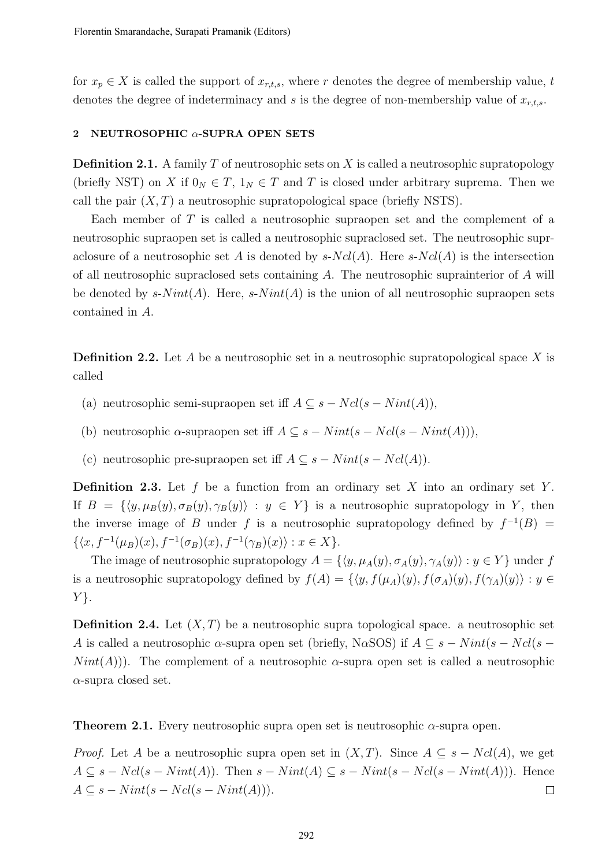for  $x_p \in X$  is called the support of  $x_{r,t,s}$ , where r denotes the degree of membership value, t denotes the degree of indeterminacy and s is the degree of non-membership value of  $x_{r,t,s}$ .

#### 2 NEUTROSOPHIC  $\alpha$ -SUPRA OPEN SETS

**Definition 2.1.** A family  $T$  of neutrosophic sets on  $X$  is called a neutrosophic supratopology (briefly NST) on X if  $0_N \in T$ ,  $1_N \in T$  and T is closed under arbitrary suprema. Then we call the pair  $(X, T)$  a neutrosophic supratopological space (briefly NSTS).

Each member of T is called a neutrosophic supraopen set and the complement of a neutrosophic supraopen set is called a neutrosophic supraclosed set. The neutrosophic supraclosure of a neutrosophic set A is denoted by  $s-Ncl(A)$ . Here  $s-Ncl(A)$  is the intersection of all neutrosophic supraclosed sets containing A. The neutrosophic suprainterior of A will be denoted by  $s\text{-}Nint(A)$ . Here,  $s\text{-}Nint(A)$  is the union of all neutrosophic supraopen sets contained in A.

**Definition 2.2.** Let A be a neutrosophic set in a neutrosophic supratopological space X is called

- (a) neutrosophic semi-supraopen set iff  $A \subseteq s Ncl(s Nint(A)),$
- (b) neutrosophic  $\alpha$ -supraopen set iff  $A \subseteq s Nint(s Ncl(s Nint(A))),$
- (c) neutrosophic pre-supraopen set iff  $A \subseteq s Nint(s Ncl(A)).$

**Definition 2.3.** Let  $f$  be a function from an ordinary set  $X$  into an ordinary set  $Y$ . If  $B = \{\langle y, \mu_B(y), \sigma_B(y), \gamma_B(y)\rangle : y \in Y\}$  is a neutrosophic supratopology in Y, then the inverse image of B under f is a neutrosophic supratopology defined by  $f^{-1}(B)$  =  $\{\langle x, f^{-1}(\mu_B)(x), f^{-1}(\sigma_B)(x), f^{-1}(\gamma_B)(x)\rangle : x \in X\}.$ 

The image of neutrosophic supratopology  $A = \{ \langle y, \mu_A(y), \sigma_A(y), \gamma_A(y) \rangle : y \in Y \}$  under f is a neutrosophic supratopology defined by  $f(A) = \{ \langle y, f(\mu_A)(y), f(\sigma_A)(y), f(\gamma_A)(y) \rangle : y \in$  $Y$ .

**Definition 2.4.** Let  $(X, T)$  be a neutrosophic supra topological space. a neutrosophic set A is called a neutrosophic  $\alpha$ -supra open set (briefly, N $\alpha$ SOS) if  $A \subseteq s - Nint(s - Ncl(s Nint(A)$ ). The complement of a neutrosophic  $\alpha$ -supra open set is called a neutrosophic  $\alpha$ -supra closed set.

**Theorem 2.1.** Every neutrosophic supra open set is neutrosophic  $\alpha$ -supra open.

*Proof.* Let A be a neutrosophic supra open set in  $(X, T)$ . Since  $A \subseteq s - Ncl(A)$ , we get  $A \subseteq s - Ncl(s - Nint(A))$ . Then  $s - Nint(A) \subseteq s - Nint(s - Ncl(s - Nint(A)))$ . Hence  $A \subseteq s - Nint(s - Ncl(s - Nint(A))).$  $\Box$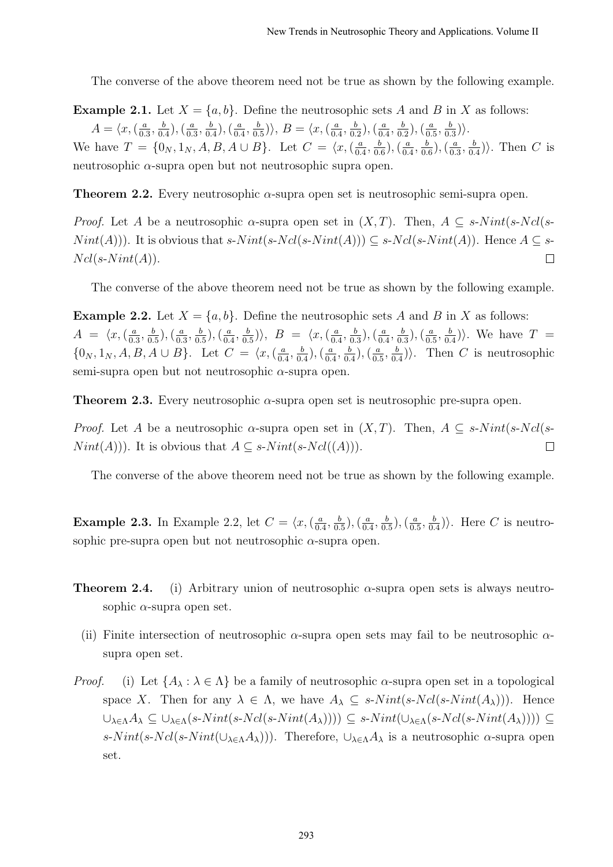The converse of the above theorem need not be true as shown by the following example.

**Example 2.1.** Let  $X = \{a, b\}$ . Define the neutrosophic sets A and B in X as follows:

 $A = \langle x, \left( \frac{a}{0} \right) \rangle$  $\frac{a}{0.3}, \frac{b}{0.}$  $\left(\frac{b}{0.4}\right), \left(\frac{a}{0.4}\right)$  $\frac{a}{0.3}, \frac{b}{0.}$  $\left(\frac{b}{0.4}\right), \left(\frac{a}{0.4}\right)$  $\frac{a}{0.4}, \frac{b}{0.}$  $\frac{b}{0.5}$ ),  $B = \langle x, (\frac{a}{0.5}) \rangle$  $\frac{a}{0.4}, \frac{b}{0.}$  $\left(\frac{b}{0.2}\right), \left(\frac{a}{0.2}\right)$  $\frac{a}{0.4}, \frac{b}{0.}$  $\left(\frac{b}{0.2}\right), \left(\frac{a}{0.2}\right)$  $\frac{a}{0.5}, \frac{b}{0.}$  $\frac{b}{0.3}\rangle\rangle.$ We have  $T = \{0_N, 1_N, A, B, A \cup B\}$ . Let  $C = \langle x, \left(\frac{a}{0}\right) \rangle$  $\frac{a}{0.4}, \frac{b}{0.}$  $\left(\frac{b}{0.6}\right), \left(\frac{a}{0.5}\right)$  $\frac{a}{0.4}, \frac{b}{0.}$  $\left(\frac{b}{0.6}\right), \left(\frac{a}{0.5}\right)$  $\frac{a}{0.3}, \frac{b}{0.}$  $\frac{b}{0.4}$ ). Then C is neutrosophic  $\alpha$ -supra open but not neutrosophic supra open.

**Theorem 2.2.** Every neutrosophic  $\alpha$ -supra open set is neutrosophic semi-supra open.

*Proof.* Let A be a neutrosophic  $\alpha$ -supra open set in  $(X, T)$ . Then,  $A \subseteq s\text{-}Nint(s-Ncl(s-T))$  $Nint(A))$ . It is obvious that s- $Nint(s-Ncl(s-Nint(A))) \subseteq s-Ncl(s-Nint(A))$ . Hence  $A \subseteq s$ - $Ncl(s-Nint(A)).$  $\Box$ 

The converse of the above theorem need not be true as shown by the following example.

**Example 2.2.** Let  $X = \{a, b\}$ . Define the neutrosophic sets A and B in X as follows:  $A = \langle x, \left( \frac{a}{0} \right) \rangle$  $\frac{a}{0.3}, \frac{b}{0.}$  $\left(\frac{b}{0.5}\right), \left(\frac{a}{0.5}\right)$  $\frac{a}{0.3}, \frac{b}{0.}$  $(\frac{b}{0.5})$ ,  $(\frac{a}{0.5})$  $\frac{a}{0.4}, \frac{b}{0.}$  $\frac{b}{0.5}$ ),  $B = \langle x, (\frac{a}{0.4})$  $\frac{a}{0.4}, \frac{b}{0.}$  $\left(\frac{b}{0.3}\right), \left(\frac{a}{0.3}\right)$  $\frac{a}{0.4}, \frac{b}{0.}$  $\left(\frac{b}{0.3}\right), \left(\frac{a}{0.3}\right)$  $\frac{a}{0.5}, \frac{b}{0.}$  $\frac{b}{0.4}$ ). We have  $T =$  $\{0_N, 1_N, A, B, A \cup B\}$ . Let  $C = \langle x, (\frac{a}{0.5})^2 \rangle$  $\frac{a}{0.4}, \frac{b}{0.}$  $(\frac{b}{0.4}),(\frac{a}{0.4})$  $\frac{a}{0.4}, \frac{b}{0.}$  $\left(\frac{b}{0.4}\right), \left(\frac{a}{0.4}\right)$  $\frac{a}{0.5}, \frac{b}{0.}$  $\frac{b}{0.4}$ ). Then C is neutrosophic semi-supra open but not neutrosophic  $\alpha$ -supra open.

**Theorem 2.3.** Every neutrosophic  $\alpha$ -supra open set is neutrosophic pre-supra open.

*Proof.* Let A be a neutrosophic  $\alpha$ -supra open set in  $(X, T)$ . Then,  $A \subseteq s\text{-}Nint(s-Ncl(s-T))$  $Nint(A))$ . It is obvious that  $A \subseteq s\text{-}Nint(s\text{-}Ncl((A))).$  $\Box$ 

The converse of the above theorem need not be true as shown by the following example.

**Example 2.3.** In Example 2.2, let  $C = \langle x, \left( \frac{a}{b} \right) \rangle$  $\frac{a}{0.4}, \frac{b}{0.}$  $(\frac{b}{0.5}),(\frac{a}{0.5})$  $\frac{a}{0.4}, \frac{b}{0.}$  $\left(\frac{b}{0.5}\right), \left(\frac{a}{0.5}\right)$  $\frac{a}{0.5}, \frac{b}{0.}$  $\frac{b}{0.4}$ ). Here C is neutrosophic pre-supra open but not neutrosophic  $\alpha$ -supra open.

- **Theorem 2.4.** (i) Arbitrary union of neutrosophic  $\alpha$ -supra open sets is always neutrosophic  $\alpha$ -supra open set.
	- (ii) Finite intersection of neutrosophic  $\alpha$ -supra open sets may fail to be neutrosophic  $\alpha$ supra open set.
- *Proof.* (i) Let  $\{A_\lambda : \lambda \in \Lambda\}$  be a family of neutrosophic  $\alpha$ -supra open set in a topological space X. Then for any  $\lambda \in \Lambda$ , we have  $A_{\lambda} \subseteq s\text{-}Nint(s\text{-}Ncl(s\text{-}Nint(A_{\lambda})))$ . Hence  $\cup_{\lambda \in \Lambda} A_{\lambda} \subseteq \cup_{\lambda \in \Lambda} (s\text{-}Nint(s\text{-}Nint(A_{\lambda})))) \subseteq s\text{-}Nint(\cup_{\lambda \in \Lambda} (s\text{-}Ncl(s\text{-}Nint(A_{\lambda})))) \subseteq s\text{-}Nint(\cup_{\lambda \in \Lambda} (s\text{-}Nint(A_{\lambda}))))$ s-N int(s-Ncl(s-N int( $\cup_{\lambda \in \Lambda} A_{\lambda}$ )). Therefore,  $\cup_{\lambda \in \Lambda} A_{\lambda}$  is a neutrosophic  $\alpha$ -supra open set.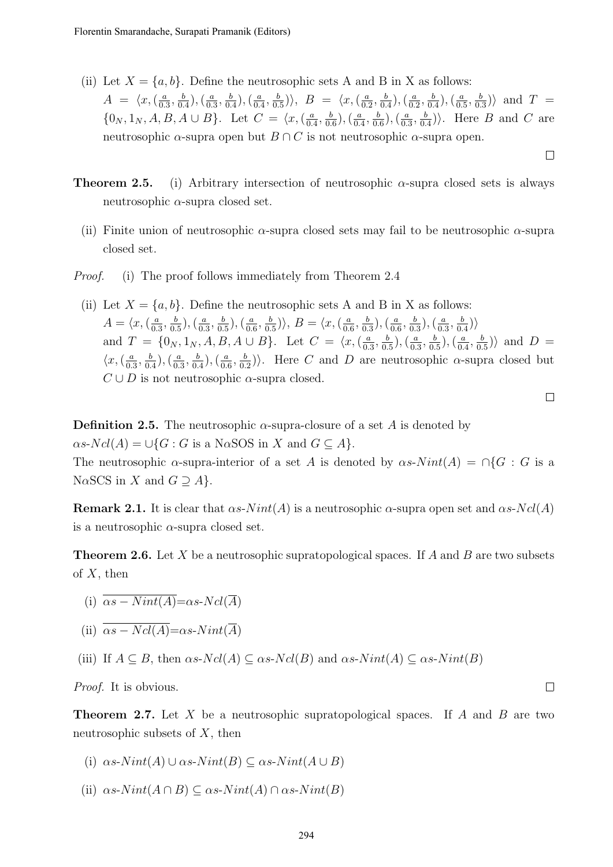- (ii) Let  $X = \{a, b\}$ . Define the neutrosophic sets A and B in X as follows:  $A = \langle x, \left( \frac{a}{0} \right) \rangle$  $\frac{a}{0.3}, \frac{b}{0.}$  $(\frac{b}{0.4}),(\frac{a}{0.4})$  $\frac{a}{0.3}, \frac{b}{0.}$  $(\frac{b}{0.4}),(\frac{a}{0.4})$  $\frac{a}{0.4}, \frac{b}{0.}$  $\frac{b}{0.5}$ ),  $B = \langle x, \left(\frac{a}{0.5}\right) \rangle$  $\frac{a}{0.2}, \frac{b}{0.}$  $\left(\frac{b}{0.4}\right), \left(\frac{a}{0.4}\right)$  $\frac{a}{0.2}, \frac{b}{0.}$  $\left(\frac{b}{0.4}\right), \left(\frac{a}{0.4}\right)$  $\frac{a}{0.5}, \frac{b}{0.}$  $\frac{b}{0.3}$ ) and T =  $\{0_N, 1_N, A, B, A \cup B\}$ . Let  $C = \langle x, (\frac{a}{0})$  $\frac{a}{0.4}, \frac{b}{0.}$  $(\frac{b}{0.6})$ ,  $(\frac{a}{0.5})$  $\frac{a}{0.4}, \frac{b}{0.}$  $\left(\frac{b}{0.6}\right), \left(\frac{a}{0.5}\right)$  $\frac{a}{0.3}, \frac{b}{0.}$  $\frac{b}{0.4}$ ). Here *B* and *C* are neutrosophic  $\alpha$ -supra open but  $B \cap C$  is not neutrosophic  $\alpha$ -supra open.
	- $\Box$
- **Theorem 2.5.** (i) Arbitrary intersection of neutrosophic  $\alpha$ -supra closed sets is always neutrosophic  $\alpha$ -supra closed set.
	- (ii) Finite union of neutrosophic  $\alpha$ -supra closed sets may fail to be neutrosophic  $\alpha$ -supra closed set.
- Proof. (i) The proof follows immediately from Theorem 2.4
	- (ii) Let  $X = \{a, b\}$ . Define the neutrosophic sets A and B in X as follows:  $A = \langle x, \left( \frac{a}{0} \right) \rangle$  $\frac{a}{0.3}, \frac{b}{0.}$  $(\frac{b}{0.5})$ ,  $(\frac{a}{0.5})$  $\frac{a}{0.3}, \frac{b}{0.}$  $(\frac{b}{0.5})$ ,  $(\frac{a}{0.0})$  $\frac{a}{0.6}, \frac{b}{0.}$  $\frac{b}{0.5}$ ),  $B = \langle x, (\frac{a}{0.5}) \rangle$  $\frac{a}{0.6}, \frac{b}{0.}$  $(\frac{b}{0.3})$ ,  $(\frac{a}{0.1})$  $\frac{a}{0.6}, \frac{b}{0.}$  $\left(\frac{b}{0.3}\right), \left(\frac{a}{0.3}\right)$  $\frac{a}{0.3}, \frac{b}{0.}$  $\frac{b}{0.4}$ ) and  $T = \{0_N, 1_N, A, B, A \cup B\}$ . Let  $C = \langle x, \left(\frac{a}{0}\right)$  $\frac{a}{0.3}, \frac{b}{0.}$  $\left(\frac{b}{0.5}\right), \left(\frac{a}{0.5}\right)$  $\frac{a}{0.3}, \frac{b}{0.}$  $\left(\frac{b}{0.5}\right), \left(\frac{a}{0.5}\right)$  $\frac{a}{0.4}, \frac{b}{0.}$  $\frac{b}{0.5}$ ) and  $D =$  $\langle x, \left( \frac{a}{\alpha} \right)$  $\frac{a}{0.3}, \frac{b}{0.}$  $(\frac{b}{0.4}),(\frac{a}{0.4})$  $\frac{a}{0.3}, \frac{b}{0.}$  $(\frac{b}{0.4}),(\frac{a}{0.4})$  $\frac{a}{0.6}, \frac{b}{0.}$  $\left(\frac{b}{0.2}\right)$ . Here C and D are neutrosophic  $\alpha$ -supra closed but  $C \cup D$  is not neutrosophic  $\alpha$ -supra closed.

```
\Box
```
 $\Box$ 

**Definition 2.5.** The neutrosophic  $\alpha$ -supra-closure of a set A is denoted by  $\alpha s\text{-}Ncl(A) = \bigcup \{G : G \text{ is a NoSOS in } X \text{ and } G \subseteq A\}.$ The neutrosophic  $\alpha$ -supra-interior of a set A is denoted by  $\alpha s$ - $Nint(A) = \bigcap \{G : G$  is a N $\alpha$ SCS in X and  $G \supseteq A$ .

**Remark 2.1.** It is clear that  $\alpha s\text{-}Nint(A)$  is a neutrosophic  $\alpha$ -supra open set and  $\alpha s\text{-}Ncl(A)$ is a neutrosophic  $\alpha$ -supra closed set.

**Theorem 2.6.** Let X be a neutrosophic supratopological spaces. If A and B are two subsets of  $X$ , then

(i)  $\overline{\alpha s - N int(A)} = \alpha s - N c l(\overline{A})$ 

(ii) 
$$
\overline{\alpha s - Ncl(A)} = \alpha s \cdot Nint(\overline{A})
$$

(iii) If  $A \subseteq B$ , then  $\alpha s$ -Ncl(A)  $\subseteq \alpha s$ -Ncl(B) and  $\alpha s$ -Nint(A)  $\subseteq \alpha s$ -Nint(B)

Proof. It is obvious.

**Theorem 2.7.** Let X be a neutrosophic supratopological spaces. If A and B are two neutrosophic subsets of  $X$ , then

- (i)  $\alpha s\text{-}Nint(A) \cup \alpha s\text{-}Nint(B) \subset \alpha s\text{-}Nint(A \cup B)$
- (ii)  $\alpha s\text{-}Nint(A\cap B) \subseteq \alpha s\text{-}Nint(A)\cap \alpha s\text{-}Nint(B)$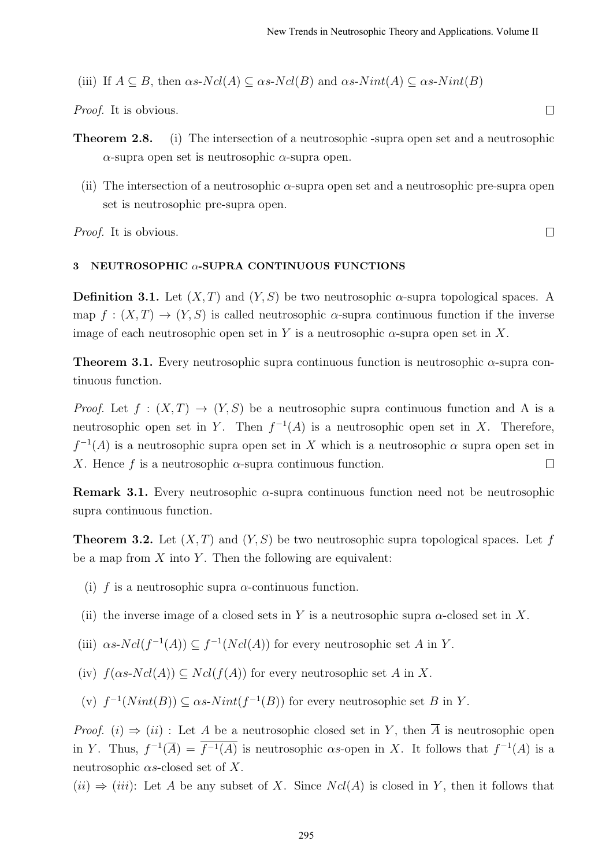(iii) If 
$$
A \subseteq B
$$
, then  $\alpha s \cdot Ncl(A) \subseteq \alpha s \cdot Ncl(B)$  and  $\alpha s \cdot Nint(A) \subseteq \alpha s \cdot Nint(B)$ 

Proof. It is obvious.

- Theorem 2.8. (i) The intersection of a neutrosophic -supra open set and a neutrosophic α-supra open set is neutrosophic α-supra open.
	- (ii) The intersection of a neutrosophic  $\alpha$ -supra open set and a neutrosophic pre-supra open set is neutrosophic pre-supra open.

Proof. It is obvious.

#### $\Box$

#### 3 NEUTROSOPHIC  $\alpha$ -SUPRA CONTINUOUS FUNCTIONS

**Definition 3.1.** Let  $(X, T)$  and  $(Y, S)$  be two neutrosophic  $\alpha$ -supra topological spaces. A map  $f: (X,T) \to (Y,S)$  is called neutrosophic  $\alpha$ -supra continuous function if the inverse image of each neutrosophic open set in Y is a neutrosophic  $\alpha$ -supra open set in X.

**Theorem 3.1.** Every neutrosophic supra continuous function is neutrosophic  $\alpha$ -supra continuous function.

*Proof.* Let  $f : (X,T) \to (Y,S)$  be a neutrosophic supra continuous function and A is a neutrosophic open set in Y. Then  $f^{-1}(A)$  is a neutrosophic open set in X. Therefore,  $f^{-1}(A)$  is a neutrosophic supra open set in X which is a neutrosophic  $\alpha$  supra open set in X. Hence f is a neutrosophic  $\alpha$ -supra continuous function.  $\Box$ 

**Remark 3.1.** Every neutrosophic  $\alpha$ -supra continuous function need not be neutrosophic supra continuous function.

**Theorem 3.2.** Let  $(X, T)$  and  $(Y, S)$  be two neutrosophic supra topological spaces. Let f be a map from  $X$  into  $Y$ . Then the following are equivalent:

- (i) f is a neutrosophic supra  $\alpha$ -continuous function.
- (ii) the inverse image of a closed sets in Y is a neutrosophic supra  $\alpha$ -closed set in X.

(iii)  $\alpha s\text{-}Ncl(f^{-1}(A)) \subseteq f^{-1}(Ncl(A))$  for every neutrosophic set A in Y.

- (iv)  $f(\alpha s\text{-}Ncl(A)) \subset Ncl(f(A))$  for every neutrosophic set A in X.
- (v)  $f^{-1}(Nint(B)) \subseteq \alpha s\text{-}Nint(f^{-1}(B))$  for every neutrosophic set B in Y.

*Proof.* (i)  $\Rightarrow$  (ii) : Let A be a neutrosophic closed set in Y, then  $\overline{A}$  is neutrosophic open in Y. Thus,  $f^{-1}(\overline{A}) = \overline{f^{-1}(A)}$  is neutrosophic as-open in X. It follows that  $f^{-1}(A)$  is a neutrosophic  $\alpha s$ -closed set of X.

 $(ii) \Rightarrow (iii)$ : Let A be any subset of X. Since  $Ncl(A)$  is closed in Y, then it follows that

 $\Box$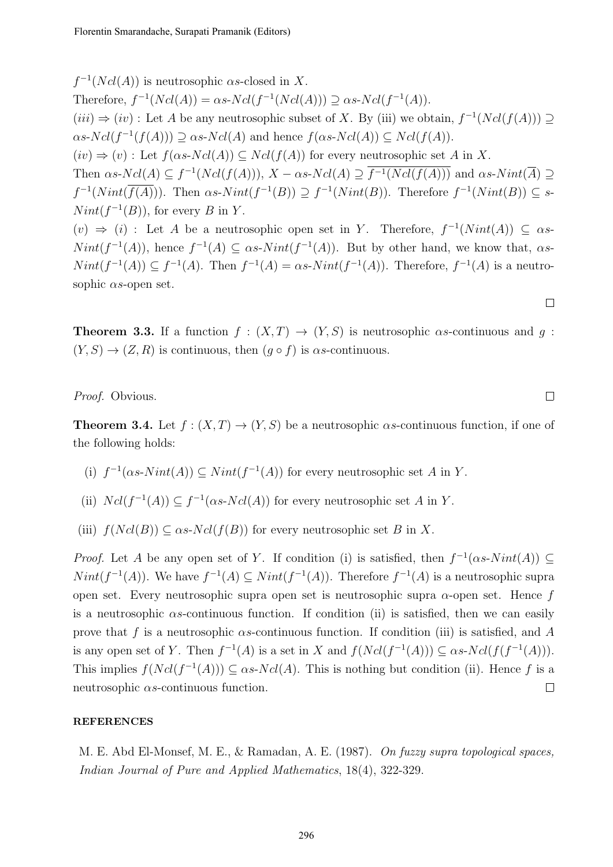$f^{-1}(Ncl(A))$  is neutrosophic  $\alpha s$ -closed in X. Therefore,  $f^{-1}(Ncl(A)) = \alpha s \cdot Ncl(f^{-1}(Ncl(A))) \supseteq \alpha s \cdot Ncl(f^{-1}(A)).$  $(iii) \Rightarrow (iv)$ : Let A be any neutrosophic subset of X. By (iii) we obtain,  $f^{-1}(Ncl(f(A))) \supseteq$  $\alpha s\text{-}Ncl(f^{-1}(f(A))) \supseteq \alpha s\text{-}Ncl(A)$  and hence  $f(\alpha s\text{-}Ncl(A)) \subseteq Ncl(f(A)).$  $(iv) \Rightarrow (v)$ : Let  $f(\alpha s-Ncl(A)) \subseteq Ncl(f(A))$  for every neutrosophic set A in X. Then  $\alpha s$ - $Ncl(A) \subseteq f^{-1}(Ncl(f(A))), X - \alpha s$ - $Ncl(A) \supseteq \overline{f^{-1}(Ncl(f(A)))}$  and  $\alpha s$ - $Nint(\overline{A}) \supseteq$  $f^{-1}(Nint(\overline{f(A)}))$ . Then  $\alpha s$ - $Nint(f^{-1}(B)) \supseteq f^{-1}(Nint(B))$ . Therefore  $f^{-1}(Nint(B)) \subseteq s$ - $Nint(f^{-1}(B))$ , for every B in Y.  $(v) \Rightarrow (i)$ : Let A be a neutrosophic open set in Y. Therefore,  $f^{-1}(Nint(A)) \subseteq \alpha s$ - $Nint(f^{-1}(A))$ , hence  $f^{-1}(A) \subseteq \alpha s$ - $Nint(f^{-1}(A))$ . But by other hand, we know that,  $\alpha s$ - $Nint(f^{-1}(A)) \subseteq f^{-1}(A)$ . Then  $f^{-1}(A) = \alpha s$ - $Nint(f^{-1}(A))$ . Therefore,  $f^{-1}(A)$  is a neutrosophic  $\alpha s$ -open set.

**Theorem 3.3.** If a function  $f : (X,T) \to (Y,S)$  is neutrosophic as-continuous and g:  $(Y, S) \rightarrow (Z, R)$  is continuous, then  $(g \circ f)$  is  $\alpha s$ -continuous.

Proof. Obvious.

**Theorem 3.4.** Let  $f : (X,T) \to (Y,S)$  be a neutrosophic  $\alpha s$ -continuous function, if one of the following holds:

- (i)  $f^{-1}(\alpha s\text{-}Nint(A)) \subseteq Nint(f^{-1}(A))$  for every neutrosophic set A in Y.
- (ii)  $Ncl(f^{-1}(A)) \subseteq f^{-1}(\alpha s\text{-} Ncl(A))$  for every neutrosophic set A in Y.
- (iii)  $f(Ncl(B)) \subset \alpha s\text{-}Ncl(f(B))$  for every neutrosophic set B in X.

*Proof.* Let A be any open set of Y. If condition (i) is satisfied, then  $f^{-1}(\alpha s\text{-}Nint(A)) \subseteq$  $Nint(f^{-1}(A))$ . We have  $f^{-1}(A) \subseteq Nint(f^{-1}(A))$ . Therefore  $f^{-1}(A)$  is a neutrosophic supra open set. Every neutrosophic supra open set is neutrosophic supra  $\alpha$ -open set. Hence f is a neutrosophic  $\alpha$ s-continuous function. If condition (ii) is satisfied, then we can easily prove that f is a neutrosophic  $\alpha$ s-continuous function. If condition (iii) is satisfied, and A is any open set of Y. Then  $f^{-1}(A)$  is a set in X and  $f(Ncl(f^{-1}(A))) \subseteq \alpha s$ -Ncl $(f(f^{-1}(A)))$ . This implies  $f(Ncl(f^{-1}(A))) \subseteq \alpha s$ -Ncl(A). This is nothing but condition (ii). Hence f is a neutrosophic  $\alpha$ s-continuous function.  $\Box$ 

#### REFERENCES

M. E. Abd El-Monsef, M. E., & Ramadan, A. E. (1987). On fuzzy supra topological spaces, Indian Journal of Pure and Applied Mathematics, 18(4), 322-329.

 $\Box$ 

 $\Box$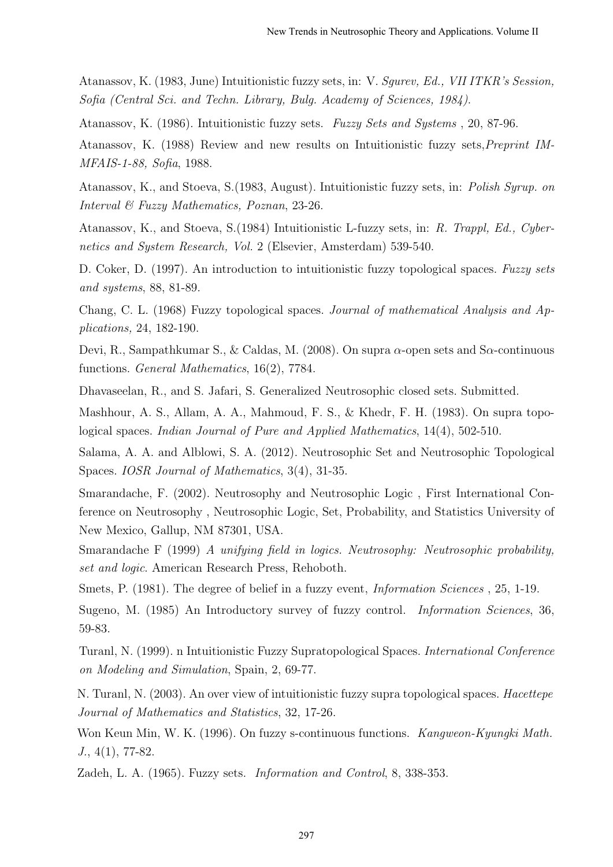Atanassov, K. (1983, June) Intuitionistic fuzzy sets, in: V. Sgurev, Ed., VII ITKR's Session, Sofia (Central Sci. and Techn. Library, Bulg. Academy of Sciences, 1984).

Atanassov, K. (1986). Intuitionistic fuzzy sets. Fuzzy Sets and Systems , 20, 87-96.

Atanassov, K. (1988) Review and new results on Intuitionistic fuzzy sets,Preprint IM-MFAIS-1-88, Sofia, 1988.

Atanassov, K., and Stoeva, S.(1983, August). Intuitionistic fuzzy sets, in: Polish Syrup. on Interval & Fuzzy Mathematics, Poznan, 23-26.

Atanassov, K., and Stoeva, S.(1984) Intuitionistic L-fuzzy sets, in: R. Trappl, Ed., Cybernetics and System Research, Vol. 2 (Elsevier, Amsterdam) 539-540.

D. Coker, D. (1997). An introduction to intuitionistic fuzzy topological spaces. Fuzzy sets and systems, 88, 81-89.

Chang, C. L. (1968) Fuzzy topological spaces. Journal of mathematical Analysis and Applications, 24, 182-190.

Devi, R., Sampathkumar S., & Caldas, M. (2008). On supra  $\alpha$ -open sets and S $\alpha$ -continuous functions. General Mathematics, 16(2), 7784.

Dhavaseelan, R., and S. Jafari, S. Generalized Neutrosophic closed sets. Submitted.

Mashhour, A. S., Allam, A. A., Mahmoud, F. S., & Khedr, F. H. (1983). On supra topological spaces. Indian Journal of Pure and Applied Mathematics, 14(4), 502-510.

Salama, A. A. and Alblowi, S. A. (2012). Neutrosophic Set and Neutrosophic Topological Spaces. IOSR Journal of Mathematics, 3(4), 31-35.

Smarandache, F. (2002). Neutrosophy and Neutrosophic Logic , First International Conference on Neutrosophy , Neutrosophic Logic, Set, Probability, and Statistics University of New Mexico, Gallup, NM 87301, USA.

Smarandache F (1999) A unifying field in logics. Neutrosophy: Neutrosophic probability, set and logic. American Research Press, Rehoboth.

Smets, P. (1981). The degree of belief in a fuzzy event, *Information Sciences* , 25, 1-19.

Sugeno, M. (1985) An Introductory survey of fuzzy control. Information Sciences, 36, 59-83.

Turanl, N. (1999). n Intuitionistic Fuzzy Supratopological Spaces. International Conference on Modeling and Simulation, Spain, 2, 69-77.

N. Turanl, N. (2003). An over view of intuitionistic fuzzy supra topological spaces. Hacettepe Journal of Mathematics and Statistics, 32, 17-26.

Won Keun Min, W. K. (1996). On fuzzy s-continuous functions. Kangweon-Kyungki Math.  $J., 4(1), 77-82.$ 

Zadeh, L. A. (1965). Fuzzy sets. Information and Control, 8, 338-353.